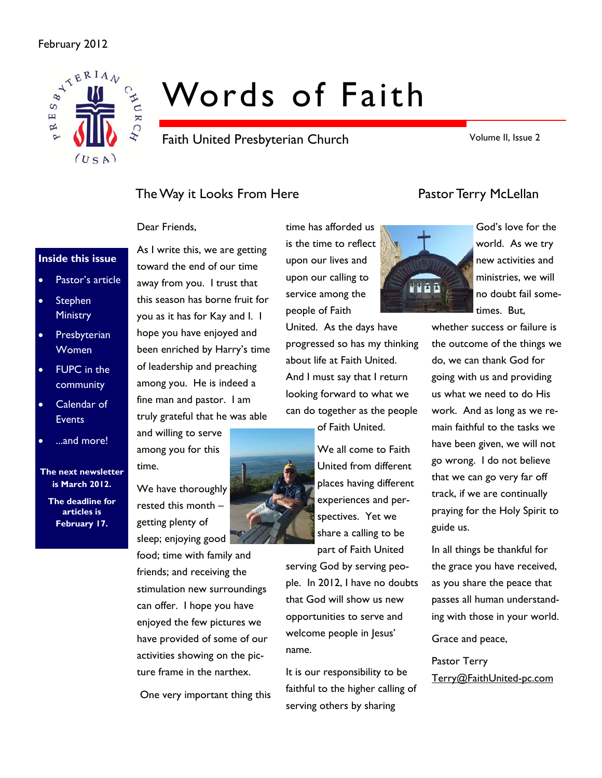### February 2012



# Words of Faith

Faith United Presbyterian Church

Volume II, Issue 2

# The Way it Looks From Here **Pastor Terry McLellan**

### Dear Friends,

### **Inside this issue**

- Pastor's article
- **Stephen Ministry**
- **Presbyterian Women**
- FUPC in the community
- Calendar of **Events**
- ...and more!

### **The next newsletter is March 2012.**

**The deadline for articles is February 17.** 

toward the end of our time away from you. I trust that this season has borne fruit for you as it has for Kay and I. I hope you have enjoyed and been enriched by Harry's time of leadership and preaching among you. He is indeed a fine man and pastor. I am truly grateful that he was able

As I write this, we are getting

and willing to serve among you for this time.

We have thoroughly rested this month – getting plenty of sleep; enjoying good

food; time with family and friends; and receiving the stimulation new surroundings can offer. I hope you have enjoyed the few pictures we have provided of some of our activities showing on the picture frame in the narthex.

One very important thing this

is the time to reflect upon our lives and upon our calling to service among the people of Faith

United. As the days have progressed so has my thinking about life at Faith United. And I must say that I return looking forward to what we can do together as the people

of Faith United.

We all come to Faith United from different places having different experiences and perspectives. Yet we share a calling to be part of Faith United

serving God by serving people. In 2012, I have no doubts that God will show us new opportunities to serve and welcome people in Jesus' name.

It is our responsibility to be faithful to the higher calling of serving others by sharing



God's love for the world. As we try new activities and ministries, we will no doubt fail sometimes. But,

whether success or failure is the outcome of the things we do, we can thank God for going with us and providing us what we need to do His work. And as long as we remain faithful to the tasks we have been given, we will not go wrong. I do not believe that we can go very far off track, if we are continually praying for the Holy Spirit to guide us.

In all things be thankful for the grace you have received, as you share the peace that passes all human understanding with those in your world.

Grace and peace,

Pastor Terry Terry@FaithUnited-pc.com

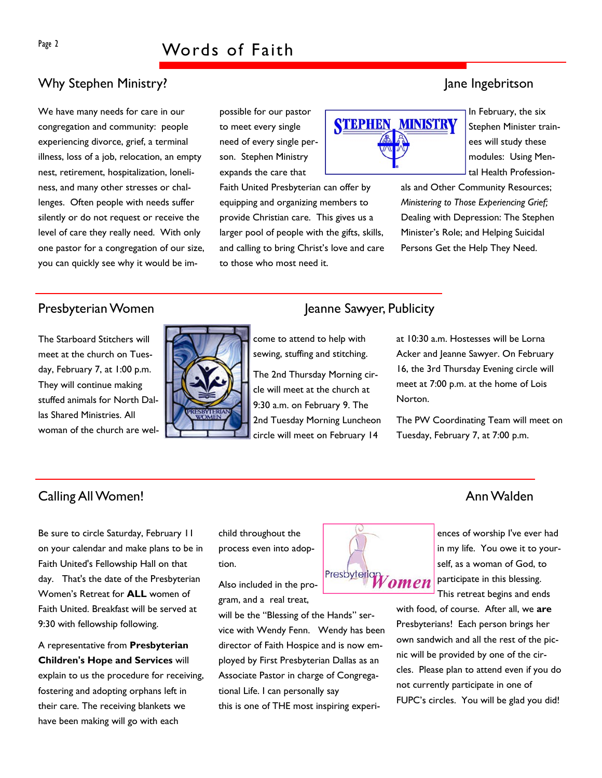# Why Stephen Ministry? Jane Ingebritson

We have many needs for care in our congregation and community: people experiencing divorce, grief, a terminal illness, loss of a job, relocation, an empty nest, retirement, hospitalization, loneliness, and many other stresses or challenges. Often people with needs suffer silently or do not request or receive the level of care they really need. With only one pastor for a congregation of our size, you can quickly see why it would be impossible for our pastor to meet every single need of every single person. Stephen Ministry expands the care that

Faith United Presbyterian can offer by equipping and organizing members to provide Christian care. This gives us a larger pool of people with the gifts, skills, and calling to bring Christ's love and care to those who most need it.



In February, the six Stephen Minister trainees will study these modules: Using Mental Health Profession-

als and Other Community Resources; *Ministering to Those Experiencing Grief;*  Dealing with Depression: The Stephen Minister's Role; and Helping Suicidal Persons Get the Help They Need.

The Starboard Stitchers will meet at the church on Tuesday, February 7, at 1:00 p.m. They will continue making stuffed animals for North Dallas Shared Ministries. All woman of the church are wel-



# Presbyterian Women Jeanne Sawyer, Publicity

come to attend to help with sewing, stuffing and stitching.

The 2nd Thursday Morning circle will meet at the church at 9:30 a.m. on February 9. The 2nd Tuesday Morning Luncheon circle will meet on February 14

at 10:30 a.m. Hostesses will be Lorna Acker and Jeanne Sawyer. On February 16, the 3rd Thursday Evening circle will meet at 7:00 p.m. at the home of Lois Norton.

The PW Coordinating Team will meet on Tuesday, February 7, at 7:00 p.m.

## Calling All Women! Ann Walden

Be sure to circle Saturday, February 11 on your calendar and make plans to be in Faith United's Fellowship Hall on that day. That's the date of the Presbyterian Women's Retreat for **ALL** women of Faith United. Breakfast will be served at 9:30 with fellowship following.

A representative from **Presbyterian Children's Hope and Services** will explain to us the procedure for receiving, fostering and adopting orphans left in their care. The receiving blankets we have been making will go with each

child throughout the process even into adoption.

Also included in the program, and a real treat,

will be the "Blessing of the Hands" service with Wendy Fenn. Wendy has been director of Faith Hospice and is now employed by First Presbyterian Dallas as an Associate Pastor in charge of Congregational Life. I can personally say this is one of THE most inspiring experi-

### ences of worship I've ever had in my life. You owe it to yourself, as a woman of God, to Presbyteriar omen

participate in this blessing. This retreat begins and ends

with food, of course. After all, we **are** Presbyterians! Each person brings her own sandwich and all the rest of the picnic will be provided by one of the circles. Please plan to attend even if you do not currently participate in one of FUPC's circles. You will be glad you did!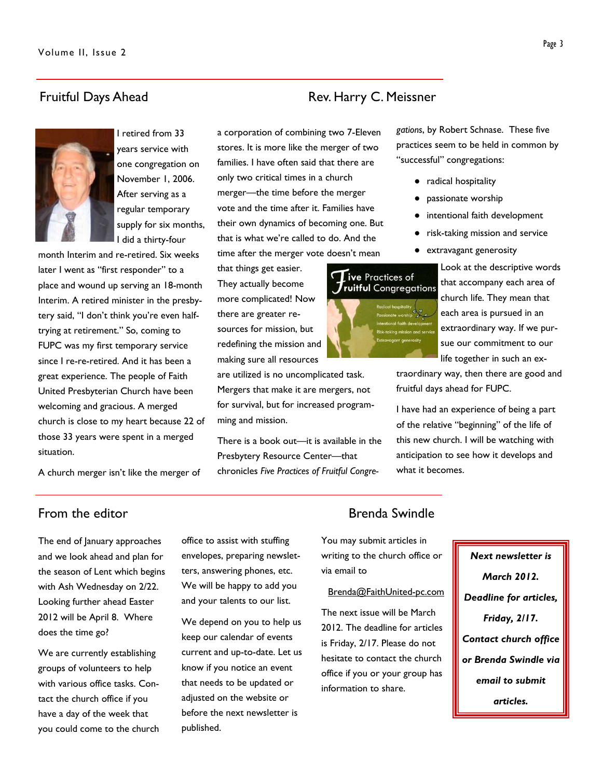## Fruitful Days Ahead Rev. Harry C. Meissner



I retired from 33 years service with one congregation on November 1, 2006. After serving as a regular temporary supply for six months, I did a thirty-four

month Interim and re-retired. Six weeks later I went as "first responder" to a place and wound up serving an 18-month Interim. A retired minister in the presbytery said, "I don't think you're even halftrying at retirement." So, coming to FUPC was my first temporary service since I re-re-retired. And it has been a great experience. The people of Faith United Presbyterian Church have been welcoming and gracious. A merged church is close to my heart because 22 of those 33 years were spent in a merged situation.

a corporation of combining two 7-Eleven stores. It is more like the merger of two families. I have often said that there are only two critical times in a church merger—the time before the merger vote and the time after it. Families have their own dynamics of becoming one. But that is what we're called to do. And the time after the merger vote doesn't mean

that things get easier. They actually become more complicated! Now there are greater resources for mission, but redefining the mission and making sure all resources

are utilized is no uncomplicated task. Mergers that make it are mergers, not for survival, but for increased programming and mission.

There is a book out—it is available in the Presbytery Resource Center—that chronicles *Five Practices of Fruitful Congre-* *gations*, by Robert Schnase. These five practices seem to be held in common by "successful" congregations:

- radical hospitality
- passionate worship
- intentional faith development
- risk-taking mission and service
- extravagant generosity

Look at the descriptive words that accompany each area of church life. They mean that each area is pursued in an extraordinary way. If we pursue our commitment to our life together in such an ex-

traordinary way, then there are good and fruitful days ahead for FUPC.

I have had an experience of being a part of the relative "beginning" of the life of this new church. I will be watching with anticipation to see how it develops and what it becomes.

A church merger isn't like the merger of

The end of January approaches and we look ahead and plan for the season of Lent which begins with Ash Wednesday on 2/22. Looking further ahead Easter 2012 will be April 8. Where does the time go?

We are currently establishing groups of volunteers to help with various office tasks. Contact the church office if you have a day of the week that you could come to the church office to assist with stuffing envelopes, preparing newsletters, answering phones, etc. We will be happy to add you and your talents to our list.

We depend on you to help us keep our calendar of events current and up-to-date. Let us know if you notice an event that needs to be updated or adjusted on the website or before the next newsletter is published.

### From the editor **Brenda** Swindle

You may submit articles in writing to the church office or via email to

### Brenda@FaithUnited-pc.com

The next issue will be March 2012. The deadline for articles is Friday, 2/17. Please do not hesitate to contact the church office if you or your group has information to share.

*Next newsletter is March 2012. Deadline for articles, Friday, 2/17. Contact church office or Brenda Swindle via email to submit articles.* 

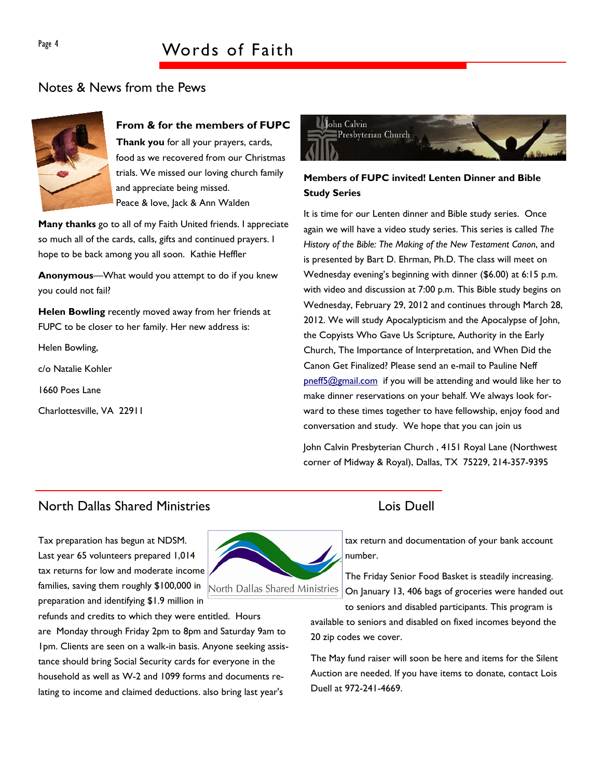# Notes & News from the Pews



### **From & for the members of FUPC**

**Thank you** for all your prayers, cards, food as we recovered from our Christmas trials. We missed our loving church family and appreciate being missed. Peace & love, Jack & Ann Walden

**Many thanks** go to all of my Faith United friends. I appreciate so much all of the cards, calls, gifts and continued prayers. I hope to be back among you all soon. Kathie Heffler

**Anonymous**—What would you attempt to do if you knew you could not fail?

**Helen Bowling** recently moved away from her friends at FUPC to be closer to her family. Her new address is:

Helen Bowling,

c/o Natalie Kohler

1660 Poes Lane

Charlottesville, VA 22911



### **Members of FUPC invited! Lenten Dinner and Bible Study Series**

It is time for our Lenten dinner and Bible study series. Once again we will have a video study series. This series is called *The History of the Bible: The Making of the New Testament Canon*, and is presented by Bart D. Ehrman, Ph.D. The class will meet on Wednesday evening's beginning with dinner (\$6.00) at 6:15 p.m. with video and discussion at 7:00 p.m. This Bible study begins on Wednesday, February 29, 2012 and continues through March 28, 2012. We will study Apocalypticism and the Apocalypse of John, the Copyists Who Gave Us Scripture, Authority in the Early Church, The Importance of Interpretation, and When Did the Canon Get Finalized? Please send an e-mail to Pauline Neff pneff5@gmail.com if you will be attending and would like her to make dinner reservations on your behalf. We always look forward to these times together to have fellowship, enjoy food and conversation and study. We hope that you can join us

John Calvin Presbyterian Church , 4151 Royal Lane (Northwest corner of Midway & Royal), Dallas, TX 75229, 214-357-9395

# North Dallas Shared Ministries Lois Duell

Tax preparation has begun at NDSM. Last year 65 volunteers prepared 1,014 tax returns for low and moderate income families, saving them roughly \$100,000 in preparation and identifying \$1.9 million in

refunds and credits to which they were entitled. Hours are Monday through Friday 2pm to 8pm and Saturday 9am to 1pm. Clients are seen on a walk-in basis. Anyone seeking assistance should bring Social Security cards for everyone in the household as well as W-2 and 1099 forms and documents relating to income and claimed deductions. also bring last year's



tax return and documentation of your bank account number.

The Friday Senior Food Basket is steadily increasing. On January 13, 406 bags of groceries were handed out

to seniors and disabled participants. This program is available to seniors and disabled on fixed incomes beyond the 20 zip codes we cover.

The May fund raiser will soon be here and items for the Silent Auction are needed. If you have items to donate, contact Lois Duell at 972-241-4669.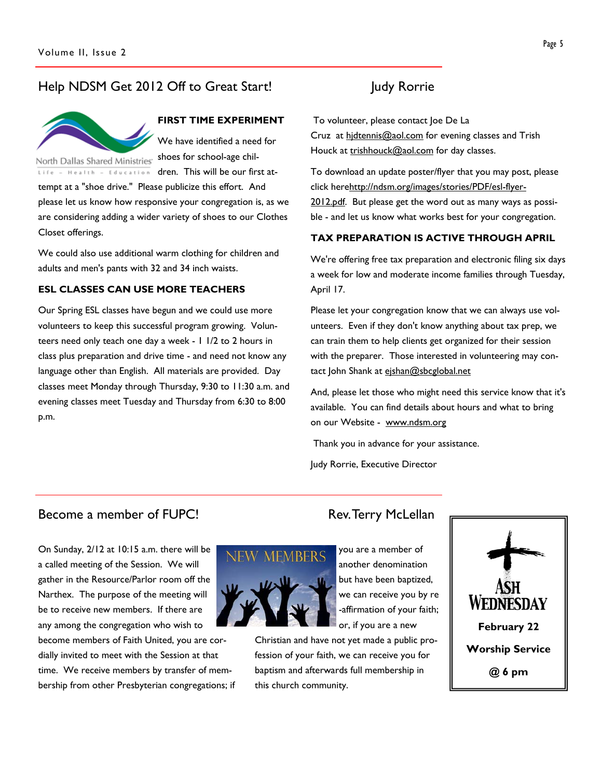# Help NDSM Get 2012 Off to Great Start! Judy Rorrie



### **FIRST TIME EXPERIMENT**

We have identified a need for shoes for school-age chil-

tempt at a "shoe drive." Please publicize this effort. And please let us know how responsive your congregation is, as we are considering adding a wider variety of shoes to our Clothes Closet offerings.

Life - Health - Education dren. This will be our first at-

We could also use additional warm clothing for children and adults and men's pants with 32 and 34 inch waists.

### **ESL CLASSES CAN USE MORE TEACHERS**

Our Spring ESL classes have begun and we could use more volunteers to keep this successful program growing. Volunteers need only teach one day a week - 1 1/2 to 2 hours in class plus preparation and drive time - and need not know any language other than English. All materials are provided. Day classes meet Monday through Thursday, 9:30 to 11:30 a.m. and evening classes meet Tuesday and Thursday from 6:30 to 8:00 p.m.

 To volunteer, please contact Joe De La Cruz at hidtennis@aol.com for evening classes and Trish Houck at trishhouck@aol.com for day classes.

To download an update poster/flyer that you may post, please click herehttp://ndsm.org/images/stories/PDF/esl-flyer-2012.pdf. But please get the word out as many ways as possible - and let us know what works best for your congregation.

### **TAX PREPARATION IS ACTIVE THROUGH APRIL**

We're offering free tax preparation and electronic filing six days a week for low and moderate income families through Tuesday, April 17.

Please let your congregation know that we can always use volunteers. Even if they don't know anything about tax prep, we can train them to help clients get organized for their session with the preparer. Those interested in volunteering may contact John Shank at ejshan@sbcglobal.net

And, please let those who might need this service know that it's available. You can find details about hours and what to bring on our Website - www.ndsm.org

Thank you in advance for your assistance.

Judy Rorrie, Executive Director

### Become a member of FUPC! Rev. Terry McLellan

On Sunday, 2/12 at 10:15 a.m. there will be a called meeting of the Session. We will gather in the Resource/Parlor room off the Narthex. The purpose of the meeting will be to receive new members. If there are any among the congregation who wish to become members of Faith United, you are cordially invited to meet with the Session at that time. We receive members by transfer of mem-

bership from other Presbyterian congregations; if

**MEMBERS** 

Christian and have not yet made a public profession of your faith, we can receive you for baptism and afterwards full membership in this church community.



you are a member of another denomination but have been baptized, we can receive you by re -affirmation of your faith; or, if you are a new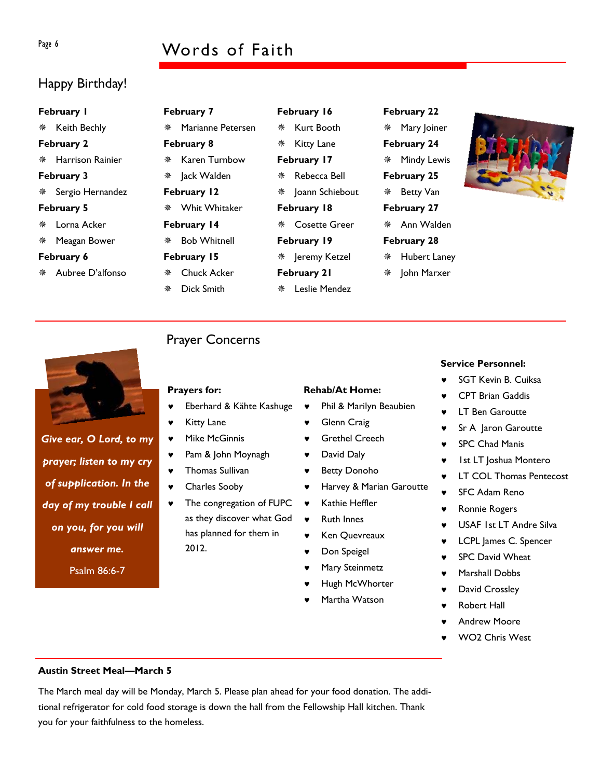# Page 6 Words of Faith

# Happy Birthday!

| February I         |              | February 7 |  |  |
|--------------------|--------------|------------|--|--|
| * Keith Bechly     | Mariann<br>豢 |            |  |  |
| February 2         |              | February 8 |  |  |
| * Harrison Rainier | Karen T<br>鮝 |            |  |  |
| February 3         | Jack Wa      |            |  |  |
| * Sergio Hernandez | February I   |            |  |  |
| February 5         | ※ Whit W     |            |  |  |
| ※ Lorna Acker      | February I   |            |  |  |
| $*$ Morgan Rower   | $R_0h$ $M/h$ |            |  |  |

### **February 6**

Aubree D'alfonso

*Give ear, O Lord, to my* 

*prayer; listen to my cry* 

*of supplication. In the* 

*day of my trouble I call* 

*on you, for you will* 

*answer me.* 

Psalm 86:6-7

| ※ おんじょう     | Marianne Petersen |  |  |  |  |  |  |
|-------------|-------------------|--|--|--|--|--|--|
| February 8  |                   |  |  |  |  |  |  |
|             | ※ Karen Turnhow   |  |  |  |  |  |  |
|             | ※ Jack Walden     |  |  |  |  |  |  |
| February 12 |                   |  |  |  |  |  |  |
|             | ※ Whit Whitaker   |  |  |  |  |  |  |
|             |                   |  |  |  |  |  |  |

**bruary 14** 

- Chuck Acker
- Dick Smith

# Prayer Concerns

### **Prayers for:**

- Eberhard & Kähte Kashuge
- ♥ Kitty Lane
- ♥ Mike McGinnis
- ♥ Pam & John Moynagh
- ♥ Thomas Sullivan
- Charles Sooby
- The congregation of FUPC as they discover what God has planned for them in 2012.

 Jeremy Ketzel **February 21** 

**Rehab/At Home:** 

**Glenn Craig Grethel Creech** 

♥ David Daly ♥ Betty Donoho

♥ Kathie Heffler ♥ Ruth Innes

♥ Ken Quevreaux Don Speigel Mary Steinmetz Hugh McWhorter Martha Watson

♥ Phil & Marilyn Beaubien

♥ Harvey & Marian Garoutte

Leslie Mendez

**February 16**  Kurt Booth

**※ Kitty Lane February 17**  Rebecca Bell

**February 18** 

**February 19** 

Cosette Greer

Joann Schiebout

# **February 22**  Mary Joiner **February 24**  Mindy Lewis **February 25**



- Ann Walden
- **February 28**  Hubert Laney
- \* John Marxer

- **Service Personnel:**
- SGT Kevin B. Cuiksa
- **CPT Brian Gaddis**
- 
- Sr A Jaron Garoutte
- ♥ SPC Chad Manis
- ♥ 1st LT Joshua Montero
- LT COL Thomas Pentecost
- SFC Adam Reno
- **Ronnie Rogers**
- ♥ USAF 1st LT Andre Silva
- LCPL James C. Spencer
- **SPC David Wheat**
- Marshall Dobbs
- ♥ David Crossley
- **Robert Hall**
- **Andrew Moore**
- WO<sub>2</sub> Chris West

### **Austin Street Meal—March 5**

The March meal day will be Monday, March 5. Please plan ahead for your food donation. The additional refrigerator for cold food storage is down the hall from the Fellowship Hall kitchen. Thank you for your faithfulness to the homeless.

# Meagan Bower

 Bob Whitnell **February 15** 

- 
- 

- **LT Ben Garoutte**
- 
- 
- 
- 
- 
- 
- 
- 
- 
- 
-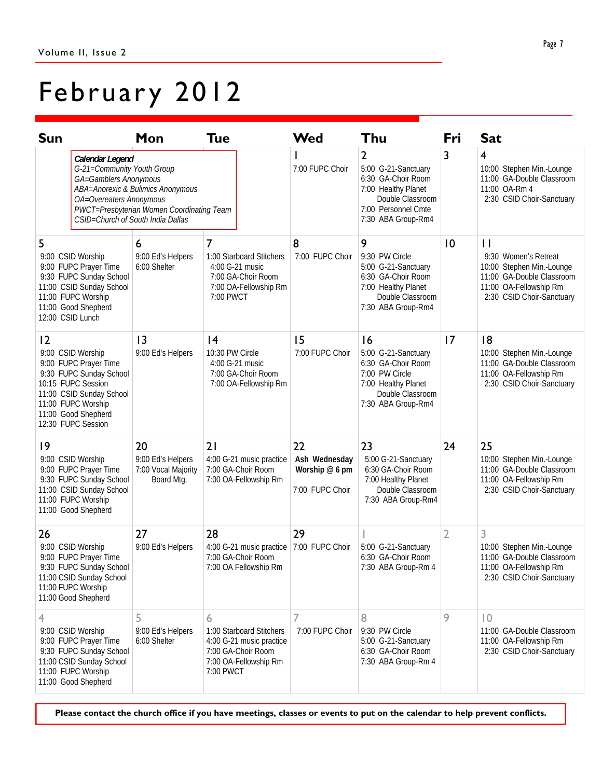# February 2012

| <b>Sun</b>                                                                                                                                                                                                   |                                                                                                                                                | Mon                                                                            | Tue                                                                                                                   | Wed                                                      | Thu                                                                                                                                                 | Fri             | <b>Sat</b>                                                                                                                                            |
|--------------------------------------------------------------------------------------------------------------------------------------------------------------------------------------------------------------|------------------------------------------------------------------------------------------------------------------------------------------------|--------------------------------------------------------------------------------|-----------------------------------------------------------------------------------------------------------------------|----------------------------------------------------------|-----------------------------------------------------------------------------------------------------------------------------------------------------|-----------------|-------------------------------------------------------------------------------------------------------------------------------------------------------|
|                                                                                                                                                                                                              | Calendar Legend<br>G-21=Community Youth Group<br>GA=Gamblers Anonymous<br>OA=Overeaters Anonymous<br>CSID=Church of South India Dallas         | ABA=Anorexic & Bulimics Anonymous<br>PWCT=Presbyterian Women Coordinating Team |                                                                                                                       | 7:00 FUPC Choir                                          | $\overline{2}$<br>5:00 G-21-Sanctuary<br>6:30 GA-Choir Room<br>7:00 Healthy Planet<br>Double Classroom<br>7:00 Personnel Cmte<br>7:30 ABA Group-Rm4 | 3               | $\overline{4}$<br>10:00 Stephen Min.-Lounge<br>11:00 GA-Double Classroom<br>11:00 OA-Rm 4<br>2:30 CSID Choir-Sanctuary                                |
| 5<br>9:00 CSID Worship<br>9:00 FUPC Prayer Time<br>9:30 FUPC Sunday School<br>11:00 CSID Sunday School<br>11:00 FUPC Worship<br>11:00 Good Shepherd<br>12:00 CSID Lunch                                      |                                                                                                                                                | 6<br>9:00 Ed's Helpers<br>6:00 Shelter                                         | 7<br>1:00 Starboard Stitchers<br>4:00 G-21 music<br>7:00 GA-Choir Room<br>7:00 OA-Fellowship Rm<br>7:00 PWCT          | 8<br>7:00 FUPC Choir                                     | 9<br>9:30 PW Circle<br>5:00 G-21-Sanctuary<br>6:30 GA-Choir Room<br>7:00 Healthy Planet<br>Double Classroom<br>7:30 ABA Group-Rm4                   | $\overline{10}$ | $\mathbf{I}$<br>9:30 Women's Retreat<br>10:00 Stephen Min.-Lounge<br>11:00 GA-Double Classroom<br>11:00 OA-Fellowship Rm<br>2:30 CSID Choir-Sanctuary |
| $\overline{2}$<br>9:00 CSID Worship<br>9:00 FUPC Prayer Time<br>9:30 FUPC Sunday School<br>10:15 FUPC Session<br>11:00 CSID Sunday School<br>11:00 FUPC Worship<br>11:00 Good Shepherd<br>12:30 FUPC Session |                                                                                                                                                | 3<br>9:00 Ed's Helpers                                                         | 4<br>10:30 PW Circle<br>4:00 G-21 music<br>7:00 GA-Choir Room<br>7:00 OA-Fellowship Rm                                | 15<br>7:00 FUPC Choir                                    | 16<br>5:00 G-21-Sanctuary<br>6:30 GA-Choir Room<br>7:00 PW Circle<br>7:00 Healthy Planet<br>Double Classroom<br>7:30 ABA Group-Rm4                  | 17              | 8<br>10:00 Stephen Min.-Lounge<br>11:00 GA-Double Classroom<br>11:00 OA-Fellowship Rm<br>2:30 CSID Choir-Sanctuary                                    |
| 19                                                                                                                                                                                                           | 9:00 CSID Worship<br>9:00 FUPC Prayer Time<br>9:30 FUPC Sunday School<br>11:00 CSID Sunday School<br>11:00 FUPC Worship<br>11:00 Good Shepherd | 20<br>9:00 Ed's Helpers<br>7:00 Vocal Majority<br>Board Mtg.                   | 21<br>4:00 G-21 music practice<br>7:00 GA-Choir Room<br>7:00 OA-Fellowship Rm                                         | 22<br>Ash Wednesday<br>Worship @ 6 pm<br>7:00 FUPC Choir | 23<br>5:00 G-21-Sanctuary<br>6:30 GA-Choir Room<br>7:00 Healthy Planet<br>Double Classroom<br>7:30 ABA Group-Rm4                                    | 24              | 25<br>10:00 Stephen Min.-Lounge<br>11:00 GA-Double Classroom<br>11:00 OA-Fellowship Rm<br>2:30 CSID Choir-Sanctuary                                   |
| 26                                                                                                                                                                                                           | 9:00 CSID Worship<br>9:00 FUPC Prayer Time<br>9:30 FUPC Sunday School<br>11:00 CSID Sunday School<br>11:00 FUPC Worship<br>11:00 Good Shepherd | 27<br>9:00 Ed's Helpers                                                        | 28<br>4:00 G-21 music practice   7:00 FUPC Choir<br>7:00 GA-Choir Room<br>7:00 OA Fellowship Rm                       | 29                                                       | 5:00 G-21-Sanctuary<br>6:30 GA-Choir Room<br>7:30 ABA Group-Rm 4                                                                                    | 2               | 3<br>10:00 Stephen Min.-Lounge<br>11:00 GA-Double Classroom<br>11:00 OA-Fellowship Rm<br>2:30 CSID Choir-Sanctuary                                    |
| 4                                                                                                                                                                                                            | 9:00 CSID Worship<br>9:00 FUPC Prayer Time<br>9:30 FUPC Sunday School<br>11:00 CSID Sunday School<br>11:00 FUPC Worship<br>11:00 Good Shepherd | 5<br>9:00 Ed's Helpers<br>6:00 Shelter                                         | 6<br>1:00 Starboard Stitchers<br>4:00 G-21 music practice<br>7:00 GA-Choir Room<br>7:00 OA-Fellowship Rm<br>7:00 PWCT | 7<br>7:00 FUPC Choir                                     | 8<br>9:30 PW Circle<br>5:00 G-21-Sanctuary<br>6:30 GA-Choir Room<br>7:30 ABA Group-Rm 4                                                             | 9               | $ 0\rangle$<br>11:00 GA-Double Classroom<br>11:00 OA-Fellowship Rm<br>2:30 CSID Choir-Sanctuary                                                       |

**Please contact the church office if you have meetings, classes or events to put on the calendar to help prevent conflicts.**